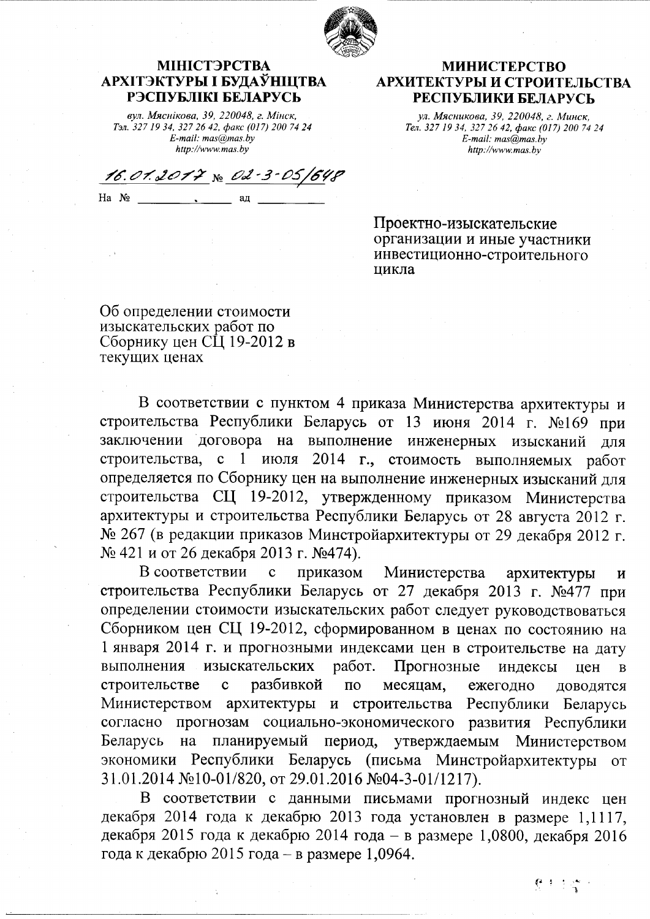

## МІНІСТЭРСТВА АРХІТЭКТУРЫ І БУДАЎНІЦТВА РЭСПУБЛІКІ БЕЛАРУСЬ

вул. Мяснікова, 39, 220048, г. Мінск, Тэл. 327 19 34, 327 26 42, факс (017) 200 74 24  $E$ -mail: mas $\overset{\rightharpoonup }{a}$ mas.by http://www.mas.by

16.01.2017 No 02-3-05

 $Ha$   $N_2$ ад

## **МИНИСТЕРСТВО** АРХИТЕКТУРЫ И СТРОИТЕЛЬСТВА РЕСПУБЛИКИ БЕЛАРУСЬ

ул. Мясникова, 39, 220048, г. Минск. Тел. 327 19 34, 327 26 42, факс (017) 200 74 24  $E$ -mail: mas $\overline{a}$ mas.by http://www.mas.by

Проектно-изыскательские организации и иные участники инвестиционно-строительного цикла

Об определении стоимости изыскательских работ по Сборнику цен СЦ 19-2012 в текущих ценах

В соответствии с пунктом 4 приказа Министерства архитектуры и строительства Республики Беларусь от 13 июня 2014 г. №169 при заключении договора на выполнение инженерных изысканий для строительства, с 1 июля 2014 г., стоимость выполняемых работ определяется по Сборнику цен на выполнение инженерных изысканий для строительства СЦ 19-2012, утвержденному приказом Министерства архитектуры и строительства Республики Беларусь от 28 августа 2012 г. № 267 (в редакции приказов Минстройархитектуры от 29 декабря 2012 г. № 421 и от 26 декабря 2013 г. №474).

В соответствии приказом Министерства  $\mathbf c$ архитектуры  $\overline{M}$ строительства Республики Беларусь от 27 декабря 2013 г. №477 при определении стоимости изыскательских работ следует руководствоваться Сборником цен СЦ 19-2012, сформированном в ценах по состоянию на 1 января 2014 г. и прогнозными индексами цен в строительстве на дату выполнения изыскательских Прогнозные работ. индексы цен B строительстве  $\mathbf{c}$ разбивкой  $\Pi$ <sup>O</sup> месяцам, ежегодно ДОВОДЯТСЯ Министерством архитектуры и строительства Республики Беларусь согласно прогнозам социально-экономического развития Республики планируемый период, утверждаемым Беларусь на Министерством экономики Республики Беларусь (письма Минстройархитектуры от 31.01.2014 №10-01/820, от 29.01.2016 №04-3-01/1217).

В соответствии с данными письмами прогнозный индекс цен декабря 2014 года к декабрю 2013 года установлен в размере 1,1117, декабря 2015 года к декабрю 2014 года – в размере 1,0800, декабря 2016 года к декабрю 2015 года – в размере 1,0964.